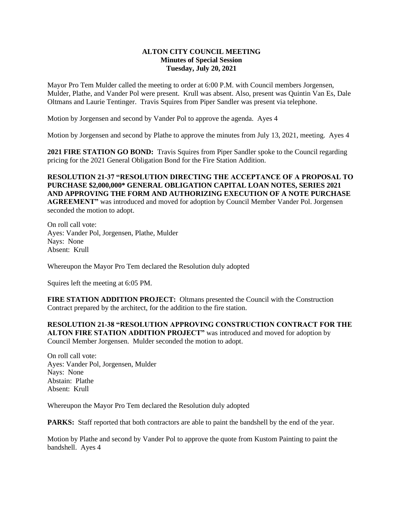## **ALTON CITY COUNCIL MEETING Minutes of Special Session Tuesday, July 20, 2021**

Mayor Pro Tem Mulder called the meeting to order at 6:00 P.M. with Council members Jorgensen, Mulder, Plathe, and Vander Pol were present. Krull was absent. Also, present was Quintin Van Es, Dale Oltmans and Laurie Tentinger. Travis Squires from Piper Sandler was present via telephone.

Motion by Jorgensen and second by Vander Pol to approve the agenda. Ayes 4

Motion by Jorgensen and second by Plathe to approve the minutes from July 13, 2021, meeting. Ayes 4

**2021 FIRE STATION GO BOND:** Travis Squires from Piper Sandler spoke to the Council regarding pricing for the 2021 General Obligation Bond for the Fire Station Addition.

## **RESOLUTION 21-37 "RESOLUTION DIRECTING THE ACCEPTANCE OF A PROPOSAL TO PURCHASE \$2,000,000\* GENERAL OBLIGATION CAPITAL LOAN NOTES, SERIES 2021 AND APPROVING THE FORM AND AUTHORIZING EXECUTION OF A NOTE PURCHASE AGREEMENT"** was introduced and moved for adoption by Council Member Vander Pol. Jorgensen

seconded the motion to adopt.

On roll call vote: Ayes: Vander Pol, Jorgensen, Plathe, Mulder Nays: None Absent: Krull

Whereupon the Mayor Pro Tem declared the Resolution duly adopted

Squires left the meeting at 6:05 PM.

**FIRE STATION ADDITION PROJECT:** Oltmans presented the Council with the Construction Contract prepared by the architect, for the addition to the fire station.

**RESOLUTION 21-38 "RESOLUTION APPROVING CONSTRUCTION CONTRACT FOR THE ALTON FIRE STATION ADDITION PROJECT"** was introduced and moved for adoption by Council Member Jorgensen. Mulder seconded the motion to adopt.

On roll call vote: Ayes: Vander Pol, Jorgensen, Mulder Nays: None Abstain: Plathe Absent: Krull

Whereupon the Mayor Pro Tem declared the Resolution duly adopted

**PARKS:** Staff reported that both contractors are able to paint the bandshell by the end of the year.

Motion by Plathe and second by Vander Pol to approve the quote from Kustom Painting to paint the bandshell. Ayes 4